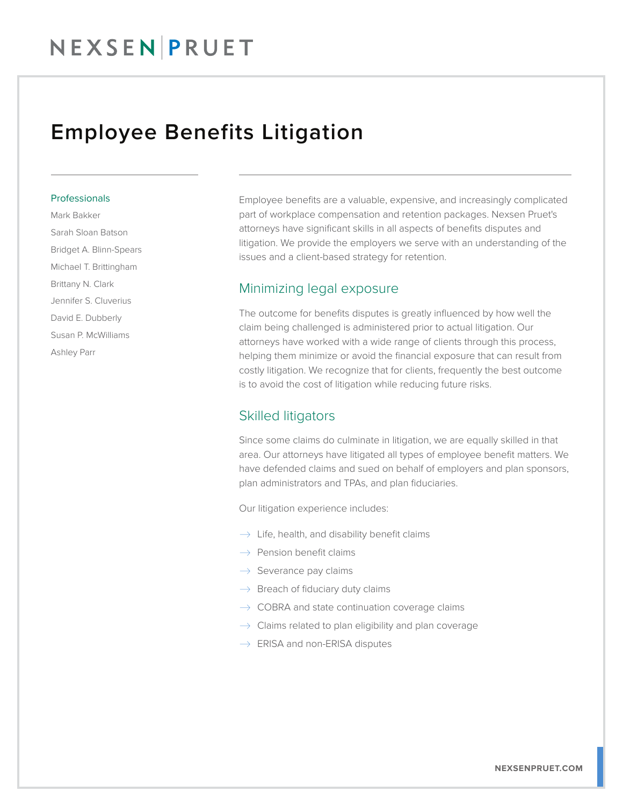### Employee Benefits Litigation

#### Professionals

Mark Bakker Sarah Sloan Batson Bridget A. Blinn-Spears Michael T. Brittingham Brittany N. Clark Jennifer S. Cluverius David E. Dubberly Susan P. McWilliams Ashley Parr

Employee benefits are a valuable, expensive, and increasingly complicated part of workplace compensation and retention packages. Nexsen Pruet's attorneys have significant skills in all aspects of benefits disputes and litigation. We provide the employers we serve with an understanding of the issues and a client-based strategy for retention.

### Minimizing legal exposure

The outcome for benefits disputes is greatly influenced by how well the claim being challenged is administered prior to actual litigation. Our attorneys have worked with a wide range of clients through this process, helping them minimize or avoid the financial exposure that can result from costly litigation. We recognize that for clients, frequently the best outcome is to avoid the cost of litigation while reducing future risks.

### Skilled litigators

Since some claims do culminate in litigation, we are equally skilled in that area. Our attorneys have litigated all types of employee benefit matters. We have defended claims and sued on behalf of employers and plan sponsors, plan administrators and TPAs, and plan fiduciaries.

Our litigation experience includes:

- $\rightarrow$  Life, health, and disability benefit claims
- $\rightarrow$  Pension benefit claims
- $\rightarrow$  Severance pay claims
- $\rightarrow$  Breach of fiduciary duty claims
- $\rightarrow$  COBRA and state continuation coverage claims
- $\rightarrow$  Claims related to plan eligibility and plan coverage
- $\rightarrow$  ERISA and non-ERISA disputes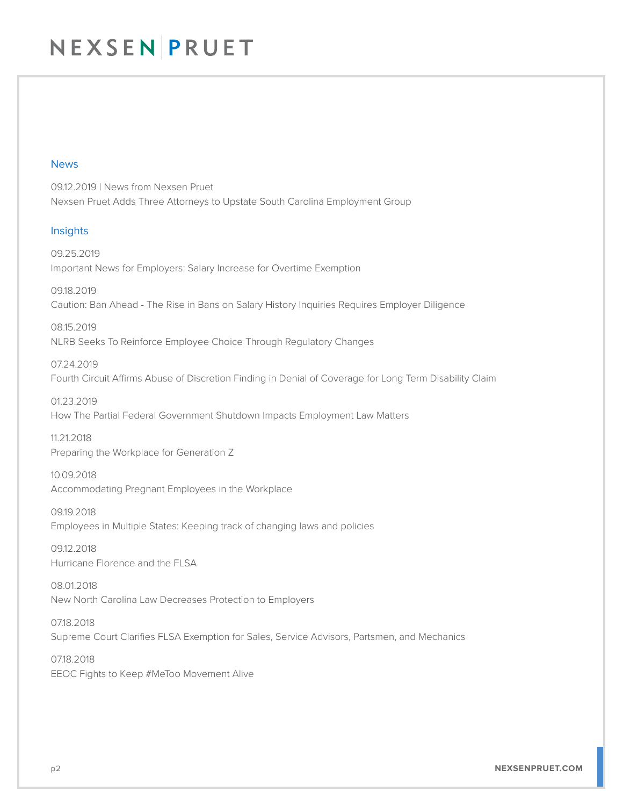## NEXSEN PRUET

#### News

09.12.2019 | News from Nexsen Pruet Nexsen Pruet Adds Three Attorneys to Upstate South Carolina Employment Group

#### Insights

09.25.2019 Important News for Employers: Salary Increase for Overtime Exemption

09.18.2019 Caution: Ban Ahead - The Rise in Bans on Salary History Inquiries Requires Employer Diligence

08.15.2019 NLRB Seeks To Reinforce Employee Choice Through Regulatory Changes

07.24.2019 Fourth Circuit Affirms Abuse of Discretion Finding in Denial of Coverage for Long Term Disability Claim

01.23.2019 How The Partial Federal Government Shutdown Impacts Employment Law Matters

11.21.2018 Preparing the Workplace for Generation Z

10.09.2018 Accommodating Pregnant Employees in the Workplace

09.19.2018 Employees in Multiple States: Keeping track of changing laws and policies

09.12.2018 Hurricane Florence and the FLSA

08.01.2018 New North Carolina Law Decreases Protection to Employers

07.18.2018 Supreme Court Clarifies FLSA Exemption for Sales, Service Advisors, Partsmen, and Mechanics

07.18.2018 EEOC Fights to Keep #MeToo Movement Alive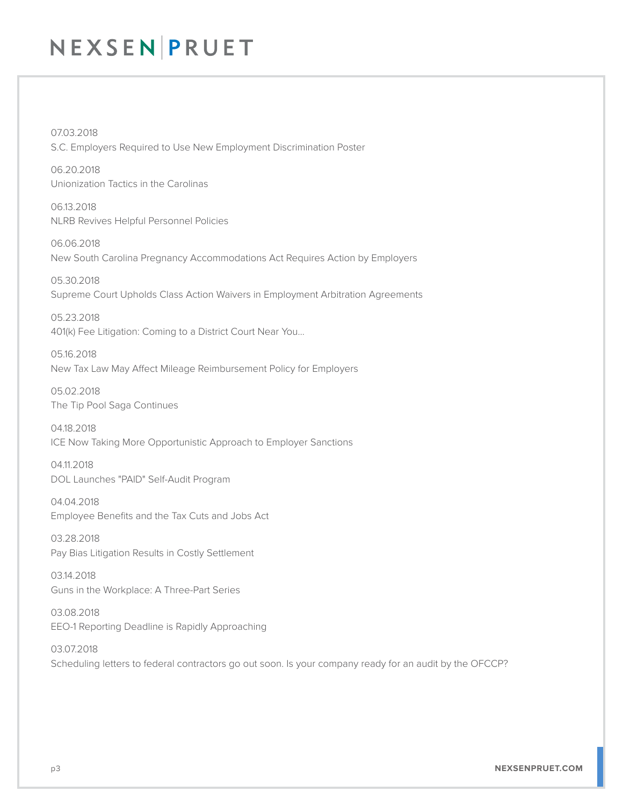# NEXSEN PRUET

07.03.2018 S.C. Employers Required to Use New Employment Discrimination Poster

06.20.2018 Unionization Tactics in the Carolinas

06.13.2018 NLRB Revives Helpful Personnel Policies

06.06.2018 New South Carolina Pregnancy Accommodations Act Requires Action by Employers

05.30.2018 Supreme Court Upholds Class Action Waivers in Employment Arbitration Agreements

05.23.2018 401(k) Fee Litigation: Coming to a District Court Near You…

05.16.2018 New Tax Law May Affect Mileage Reimbursement Policy for Employers

05.02.2018 The Tip Pool Saga Continues

04.18.2018 ICE Now Taking More Opportunistic Approach to Employer Sanctions

04.11.2018 DOL Launches "PAID" Self-Audit Program

04.04.2018 Employee Benefits and the Tax Cuts and Jobs Act

03.28.2018 Pay Bias Litigation Results in Costly Settlement

03.14.2018 Guns in the Workplace: A Three-Part Series

03.08.2018 EEO-1 Reporting Deadline is Rapidly Approaching

03.07.2018 Scheduling letters to federal contractors go out soon. Is your company ready for an audit by the OFCCP?